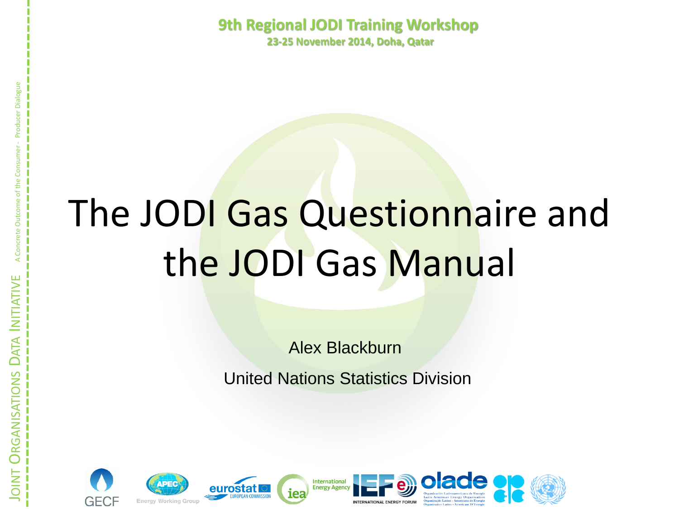**9th Regional JODI Training Workshop 23-25 November 2014, Doha, Qatar**

# The JODI Gas Questionnaire and the JODI Gas Manual

Alex Blackburn

United Nations Statistics Division









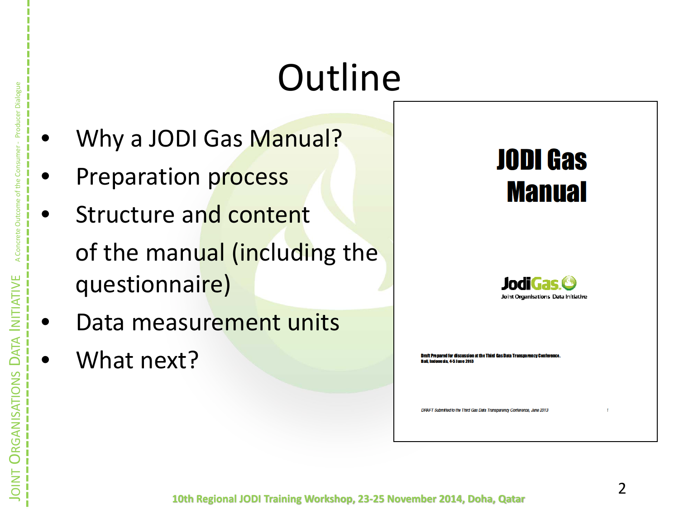# **Outline**

- Why a JODI Gas Manual?
- Preparation process
- Structure and content of the manual (including the questionnaire)
- Data measurement units
- What next?

### **JODI Gas Manual**



**Draft Prepared for discussion at the Third Gas Data Transparency Confe** .<br>Bali, Indonesia, 4-5 June 2013

DRAFT Submitted to the Third Gas Data Transparency Conference, June 2013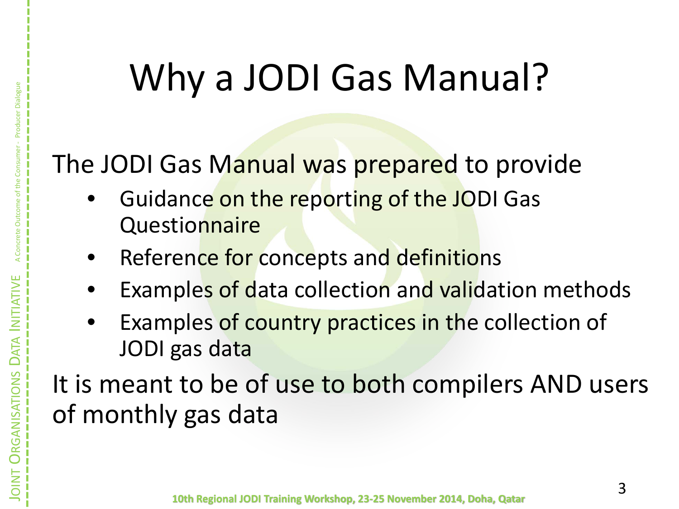# Why a JODI Gas Manual?

### The JODI Gas Manual was prepared to provide

- Guidance on the reporting of the JODI Gas Questionnaire
- Reference for concepts and definitions

JOINT

**ORGANISATIONS** 

GANISATIONS

DATA INITIATIVE A Concrete Outcome of the Consumer - Producer Dialogue

- Examples of data collection and validation methods
- Examples of country practices in the collection of JODI gas data

It is meant to be of use to both compilers AND users of monthly gas data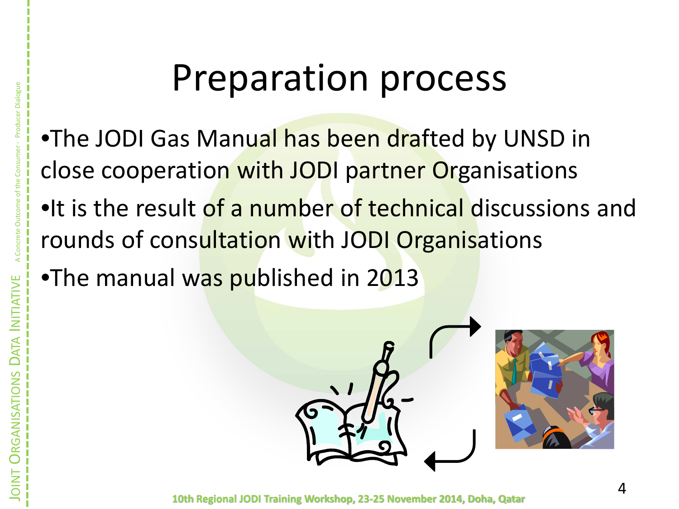## Preparation process

.The JODI Gas Manual has been drafted by UNSD in close cooperation with JODI partner Organisations

- •It is the result of a number of technical discussions and rounds of consultation with JODI Organisations
- •The manual was published in 2013

JOINT

**ORGANISATIONS**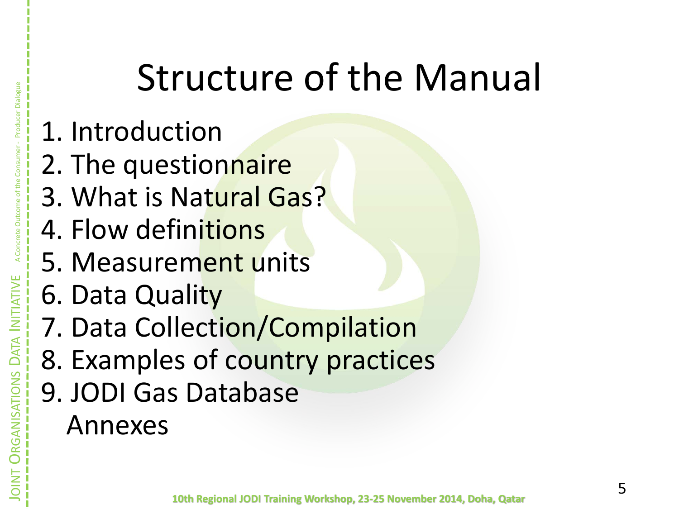# Structure of the Manual

- 1. Introduction
- 2. The questionnaire
- 3. What is Natural Gas?
- 4. Flow definitions
- 5. Measurement units
- 6. Data Quality
- 7. Data Collection/Compilation
- 8. Examples of country practices
- 9. JODI Gas Database Annexes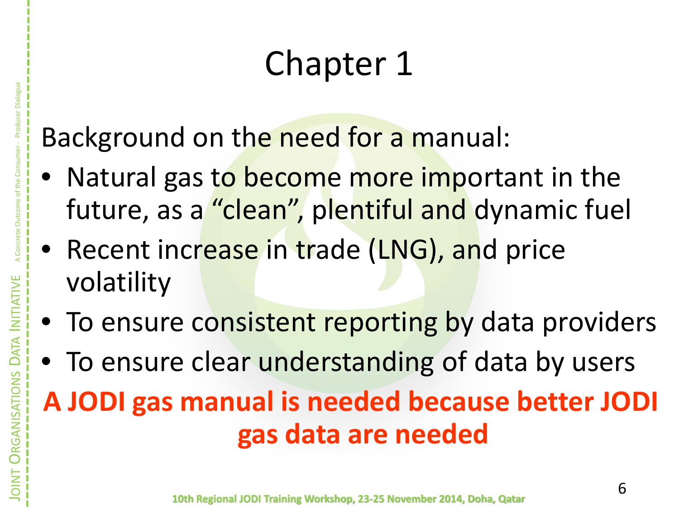# Chapter 1

Background on the need for a manual:

- Natural gas to become more important in the future, as a "clean", plentiful and dynamic fuel
- Recent increase in trade (LNG), and price volatility

JOINT

**ORGANISATIONS** 

DATA INITIATIVE A Concrete Outcome of the Consumer - Producer Dialogue

- To ensure consistent reporting by data providers
- To ensure clear understanding of data by users

**A JODI gas manual is needed because better JODI gas data are needed**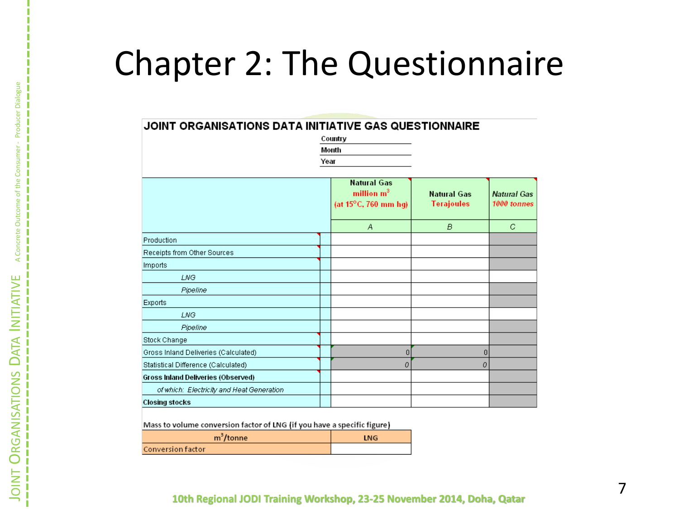### Chapter 2: The Questionnaire

#### JOINT ORGANISATIONS DATA INITIATIVE GAS QUESTIONNAIRE

| Country |
|---------|
| Month   |
| Year    |

**Natural Gas** million  $m^3$ **Natural Gas** Natural Gas (at  $15^{\circ}$ C, 760 mm hg) **Terajoules** 1000 tonnes  $\boldsymbol{A}$ B C. Production Receipts from Other Sources Imports LNG Pipeline Exports **LNG** Pipeline Stock Change Gross Inland Deliveries (Calculated)  $\vert$  $|0|$ οI Statistical Difference (Calculated) 0 Gross Inland Deliveries (Observed) of which: Electricity and Heat Generation **Closing stocks** 

Mass to volume conversion factor of LNG (if you have a specific figure)

| m <sup>-</sup> /tonne    | <b>ING</b> |
|--------------------------|------------|
| <b>Conversion factor</b> |            |

#### **10th Regional JODI Training Workshop, 23 -25 November 2014, Doha, Qatar**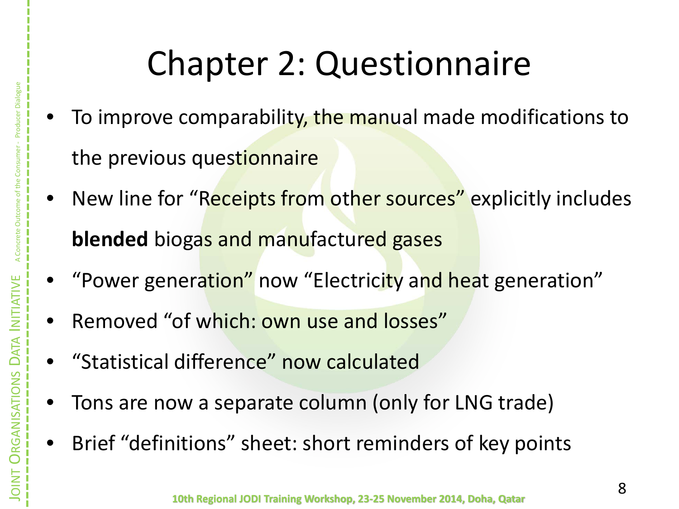## Chapter 2: Questionnaire

- To improve comparability, the manual made modifications to the previous questionnaire
- New line for "Receipts from other sources" explicitly includes **blended** biogas and manufactured gases
- "Power generation" now "Electricity and heat generation"
- Removed "of which: own use and losses"
- "Statistical difference" now calculated
- Tons are now a separate column (only for LNG trade)
- Brief "definitions" sheet: short reminders of key points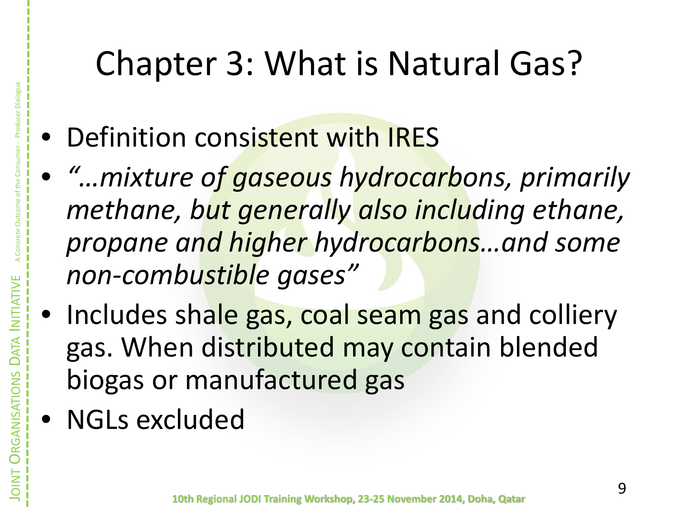## Chapter 3: What is Natural Gas?

- Definition consistent with IRES
- *"…mixture of gaseous hydrocarbons, primarily methane, but generally also including ethane, propane and higher hydrocarbons…and some non-combustible gases"*
- Includes shale gas, coal seam gas and colliery gas. When distributed may contain blended biogas or manufactured gas
- NGLs excluded

JOINT

**ORGANISATIONS**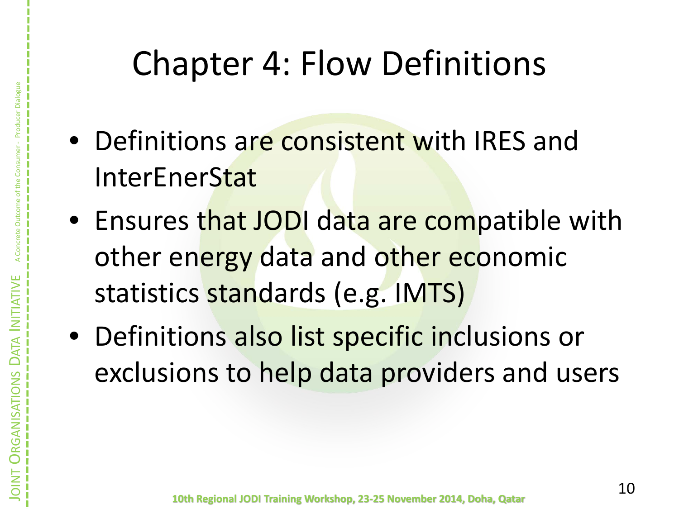- Definitions are consistent with IRES and InterEnerStat
- Ensures that JODI data are compatible with other energy data and other economic statistics standards (e.g. IMTS)
- Definitions also list specific inclusions or exclusions to help data providers and users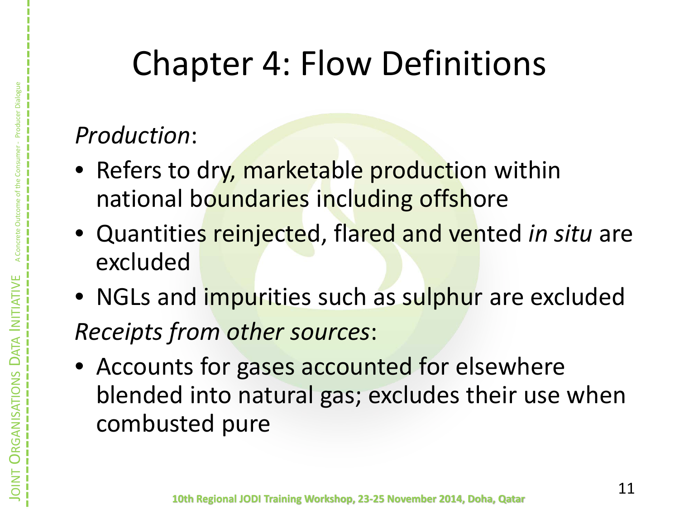### *Production*:

- Refers to dry, marketable production within national boundaries including offshore
- Quantities reinjected, flared and vented *in situ* are excluded
- NGLs and *impurities such as sulphur are excluded Receipts from other sources*:
- Accounts for gases accounted for elsewhere blended into natural gas; excludes their use when combusted pure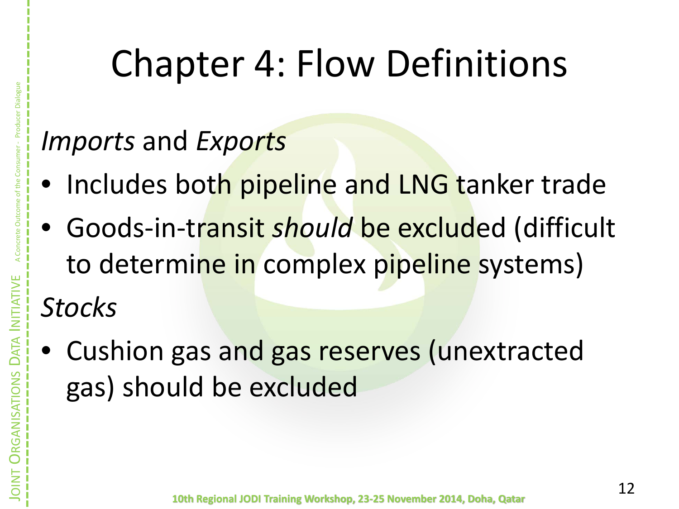### *Imports* and *Exports*

- Includes both pipeline and LNG tanker trade
- Goods-in-transit *should* be excluded (difficult to determine in complex pipeline systems) *Stocks*
- Cushion gas and gas reserves (unextracted gas) should be excluded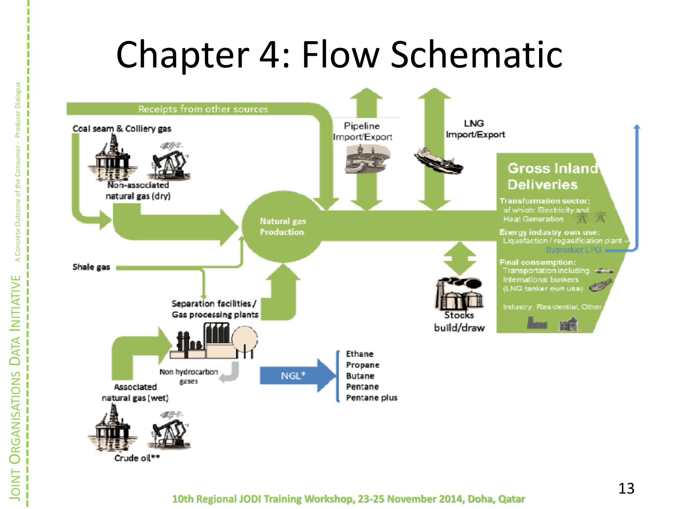# Chapter 4: Flow Schematic



#### **10th Regional JODI Training Workshop, 23 -25 November 2014, Doha, Qatar**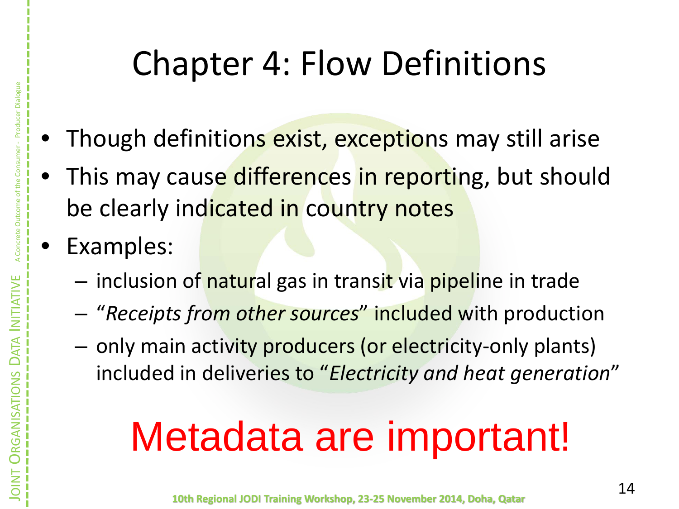- Though definitions exist, exceptions may still arise
- This may cause differences in reporting, but should be clearly indicated in country notes
- Examples:
	- inclusion of natural gas in transit via pipeline in trade
	- "*Receipts from other sources*" included with production
	- only main activity producers (or electricity-only plants) included in deliveries to "*Electricity and heat generation*"

# Metadata are important!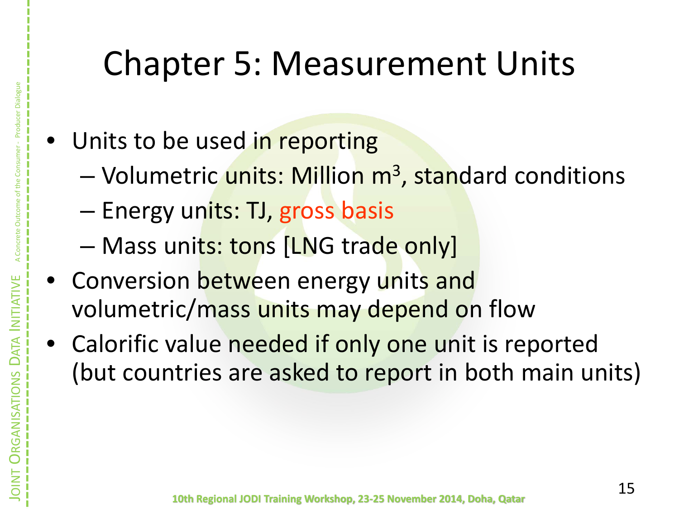### Chapter 5: Measurement Units

- Units to be used in reporting
	- Volumetric units: Million m<sup>3</sup>, standard conditions
	- Energy units: TJ, gross basis
	- Mass units: tons [LNG trade only]
- Conversion between energy units and volumetric/mass units may depend on flow
- Calorific value needed if only one unit is reported (but countries are asked to report in both main units)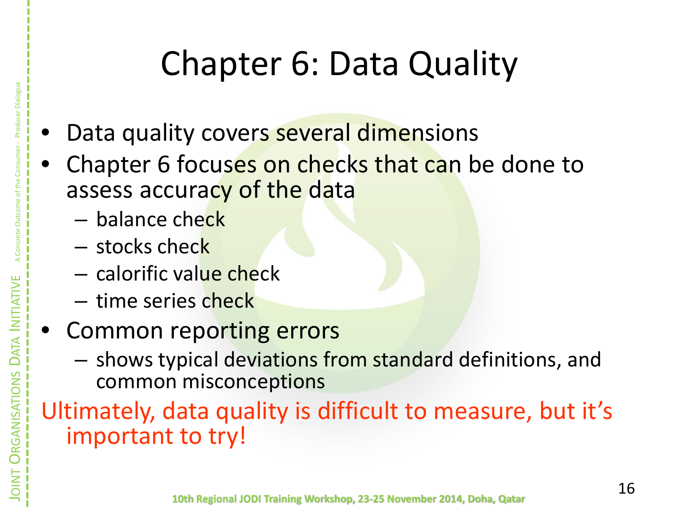# Chapter 6: Data Quality

- Data quality covers several dimensions
- Chapter 6 focuses on checks that can be done to assess accuracy of the data
	- balance check
	- stocks check

JOINT

**ORGANISATIONS** 

RGANISATIONS

DATA INITIATIVE A Concrete Outcome of the Consumer - Producer Dialogue

- calorific value check
- time series check
- Common reporting errors
	- shows typical deviations from standard definitions, and common misconceptions

Ultimately, data quality is difficult to measure, but it's important to try!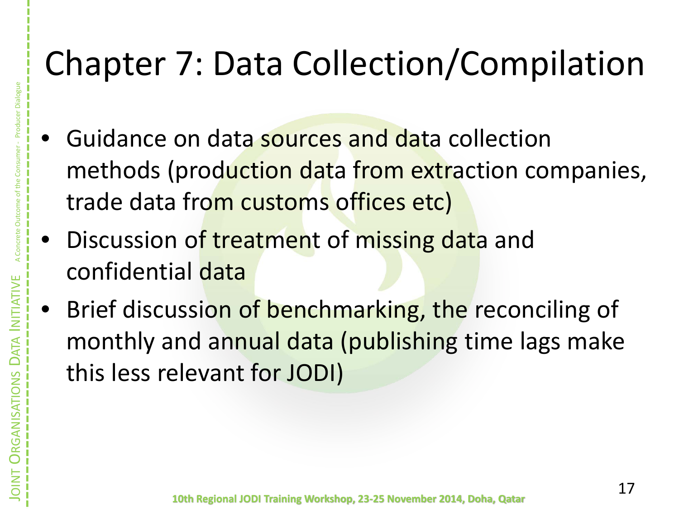## Chapter 7: Data Collection/Compilation

- Guidance on data sources and data collection methods (production data from extraction companies, trade data from customs offices etc)
- Discussion of treatment of missing data and confidential data
- Brief discussion of benchmarking, the reconciling of monthly and annual data (publishing time lags make this less relevant for JODI)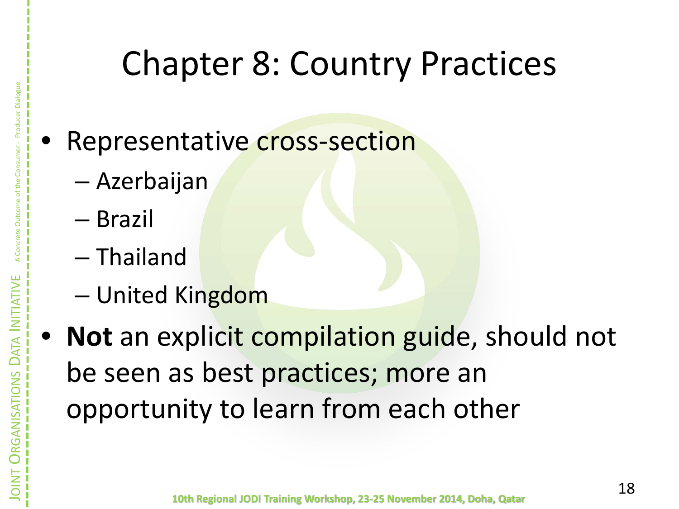### Chapter 8: Country Practices

### Representative **cross-section**

- Azerbaijan
- Brazil

JOINT

**ORGANISATIONS** 

GANISATIONS

- Thailand
- United Kingdom
- **Not** an explicit compilation guide, should not be seen as best practices; more an opportunity to learn from each other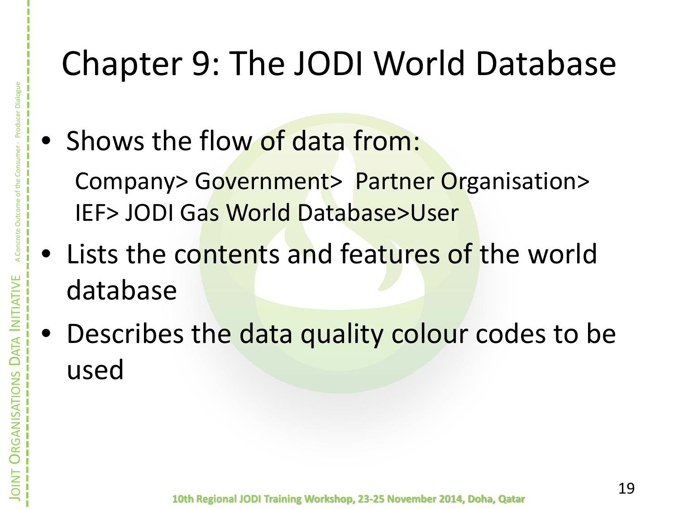## Chapter 9: The JODI World Database

• Shows the flow of data from:

Company> Government> Partner Organisation> IEF> JODI Gas World Database>User

- Lists the contents and features of the world database
- Describes the data quality colour codes to be used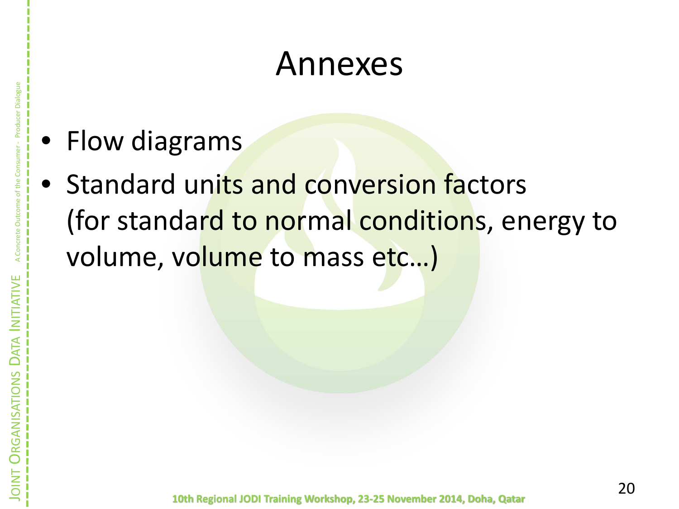### Annexes

• Flow diagrams

JOINT

**ORGANISATIONS** 

GANISATIO

DATA INITIATIVE A Concrete Outcome of the Consumer - Producer Dialogue

• Standard units and conversion factors (for standard to normal conditions, energy to volume, volume to mass etc...)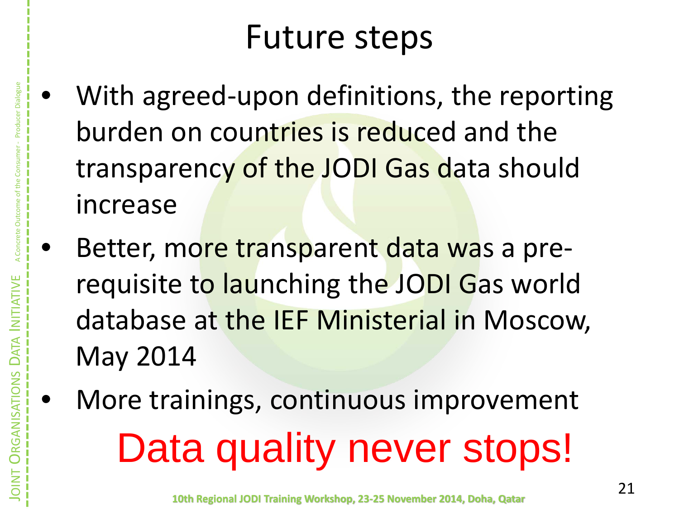### Future steps

- With agreed-upon definitions, the reporting burden on countries is reduced and the transparency of the JODI Gas data should increase
- Better, more transparent data was a prerequisite to launching the JODI Gas world database at the IEF Ministerial in Moscow, May 2014
- More trainings, continuous improvement Data quality never stops!

JOINT

**ORGANISATIONS** 

RGANISATIONS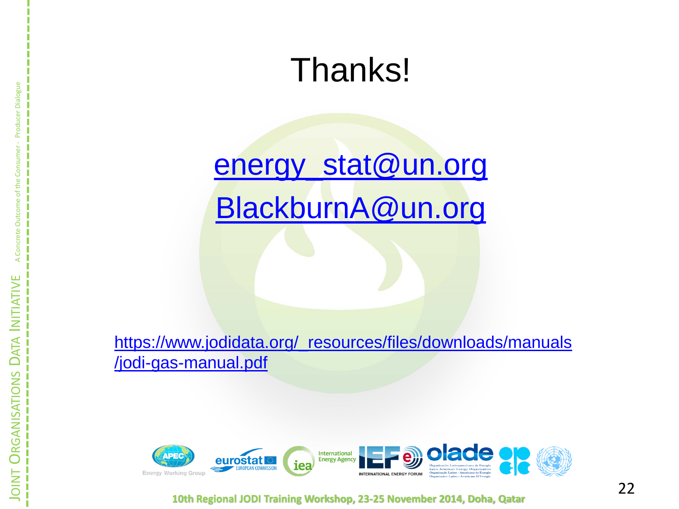### Thanks[!](mailto:energy_stat@un.org)

### [energy\\_stat@un.org](mailto:energy_stat@un.org) [BlackburnA@un.org](mailto:kburnA@un.org)

[https://www.jodidata.org/\\_resources/files/downloads/manuals](https://www.jodidata.org/_resources/files/downloads/manuals/jodi-gas-manual.pdf) [/jodi](https://www.jodidata.org/_resources/files/downloads/manuals/jodi-gas-manual.pdf) [-gas](https://www.jodidata.org/_resources/files/downloads/manuals/jodi-gas-manual.pdf) [-manual.pdf](https://www.jodidata.org/_resources/files/downloads/manuals/jodi-gas-manual.pdf)



**10th Regional JODI Training Workshop, 23 -25 November 2014, Doha, Qatar**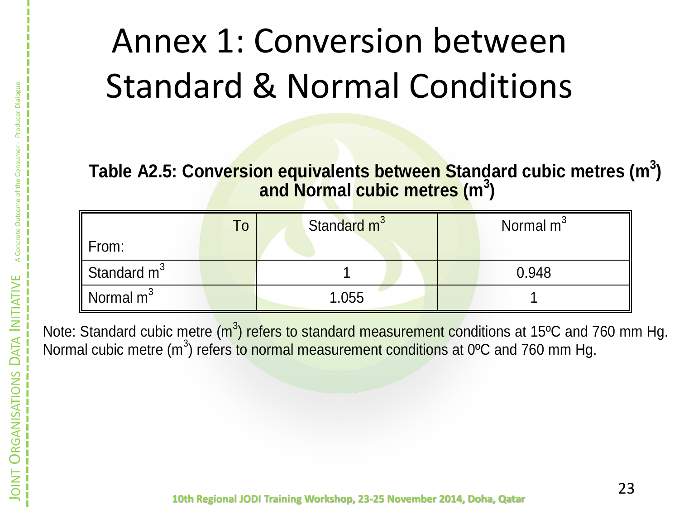# Annex 1: Conversion between Standard & Normal Conditions

**Table A2.5: Conversion equivalents between Standard cubic metres (m<sup>3</sup> ) and Normal cubic metres (m<sup>3</sup> )**

|                   | To | Standard m <sup>3</sup> | Normal m <sup>3</sup> |
|-------------------|----|-------------------------|-----------------------|
| $\parallel$ From: |    |                         |                       |
| Standard $m^3$    |    |                         | 0.948                 |
| Normal $m^3$      |    | 1.055                   |                       |

Note: Standard cubic metre (m<sup>3</sup>) refers to standard measurement conditions at 15°C and 760 mm Hg. Normal cubic metre (m<sup>3</sup>) refers to normal measurement conditions at 0°C and 760 mm Hg.

JOINT

**ORGANISATIONS** 

RGANISATIO